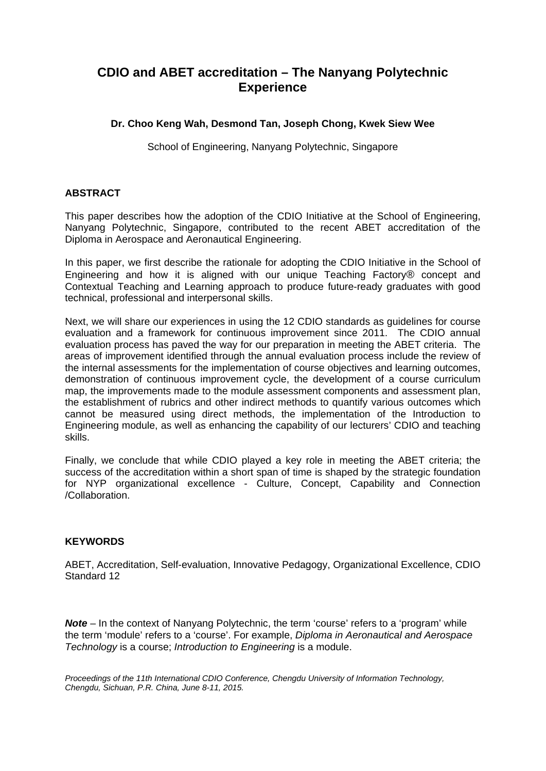# **CDIO and ABET accreditation – The Nanyang Polytechnic Experience**

# **Dr. Choo Keng Wah, Desmond Tan, Joseph Chong, Kwek Siew Wee**

School of Engineering, Nanyang Polytechnic, Singapore

# **ABSTRACT**

This paper describes how the adoption of the CDIO Initiative at the School of Engineering, Nanyang Polytechnic, Singapore, contributed to the recent ABET accreditation of the Diploma in Aerospace and Aeronautical Engineering.

In this paper, we first describe the rationale for adopting the CDIO Initiative in the School of Engineering and how it is aligned with our unique Teaching Factory® concept and Contextual Teaching and Learning approach to produce future-ready graduates with good technical, professional and interpersonal skills.

Next, we will share our experiences in using the 12 CDIO standards as guidelines for course evaluation and a framework for continuous improvement since 2011. The CDIO annual evaluation process has paved the way for our preparation in meeting the ABET criteria. The areas of improvement identified through the annual evaluation process include the review of the internal assessments for the implementation of course objectives and learning outcomes, demonstration of continuous improvement cycle, the development of a course curriculum map, the improvements made to the module assessment components and assessment plan, the establishment of rubrics and other indirect methods to quantify various outcomes which cannot be measured using direct methods, the implementation of the Introduction to Engineering module, as well as enhancing the capability of our lecturers' CDIO and teaching skills.

Finally, we conclude that while CDIO played a key role in meeting the ABET criteria; the success of the accreditation within a short span of time is shaped by the strategic foundation for NYP organizational excellence - Culture, Concept, Capability and Connection /Collaboration.

# **KEYWORDS**

ABET, Accreditation, Self-evaluation, Innovative Pedagogy, Organizational Excellence, CDIO Standard 12

**Note** – In the context of Nanyang Polytechnic, the term 'course' refers to a 'program' while the term 'module' refers to a 'course'. For example, *Diploma in Aeronautical and Aerospace Technology* is a course; *Introduction to Engineering* is a module.

*Proceedings of the 11th International CDIO Conference, Chengdu University of Information Technology, Chengdu, Sichuan, P.R. China, June 8-11, 2015.*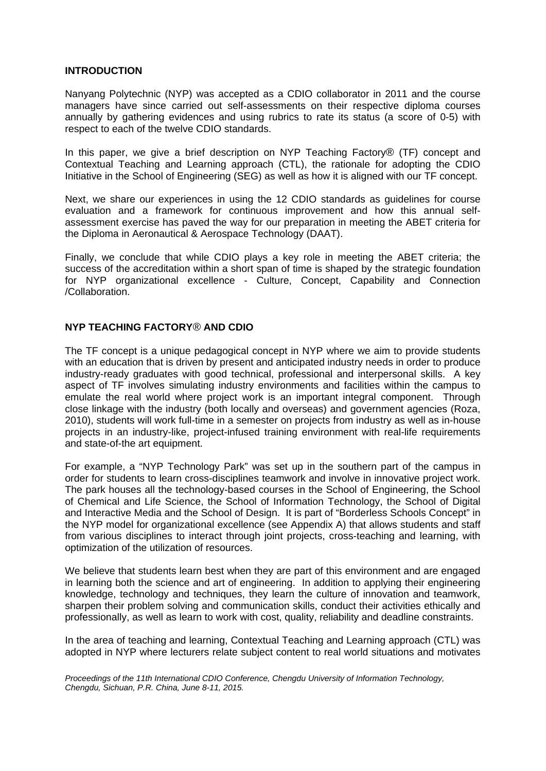#### **INTRODUCTION**

Nanyang Polytechnic (NYP) was accepted as a CDIO collaborator in 2011 and the course managers have since carried out self-assessments on their respective diploma courses annually by gathering evidences and using rubrics to rate its status (a score of 0-5) with respect to each of the twelve CDIO standards.

In this paper, we give a brief description on NYP Teaching Factory® (TF) concept and Contextual Teaching and Learning approach (CTL), the rationale for adopting the CDIO Initiative in the School of Engineering (SEG) as well as how it is aligned with our TF concept.

Next, we share our experiences in using the 12 CDIO standards as guidelines for course evaluation and a framework for continuous improvement and how this annual selfassessment exercise has paved the way for our preparation in meeting the ABET criteria for the Diploma in Aeronautical & Aerospace Technology (DAAT).

Finally, we conclude that while CDIO plays a key role in meeting the ABET criteria; the success of the accreditation within a short span of time is shaped by the strategic foundation for NYP organizational excellence - Culture, Concept, Capability and Connection /Collaboration.

# **NYP TEACHING FACTORY**® **AND CDIO**

The TF concept is a unique pedagogical concept in NYP where we aim to provide students with an education that is driven by present and anticipated industry needs in order to produce industry-ready graduates with good technical, professional and interpersonal skills. A key aspect of TF involves simulating industry environments and facilities within the campus to emulate the real world where project work is an important integral component. Through close linkage with the industry (both locally and overseas) and government agencies (Roza, 2010), students will work full-time in a semester on projects from industry as well as in-house projects in an industry-like, project-infused training environment with real-life requirements and state-of-the art equipment.

For example, a "NYP Technology Park" was set up in the southern part of the campus in order for students to learn cross-disciplines teamwork and involve in innovative project work. The park houses all the technology-based courses in the School of Engineering, the School of Chemical and Life Science, the School of Information Technology, the School of Digital and Interactive Media and the School of Design. It is part of "Borderless Schools Concept" in the NYP model for organizational excellence (see Appendix A) that allows students and staff from various disciplines to interact through joint projects, cross-teaching and learning, with optimization of the utilization of resources.

We believe that students learn best when they are part of this environment and are engaged in learning both the science and art of engineering. In addition to applying their engineering knowledge, technology and techniques, they learn the culture of innovation and teamwork, sharpen their problem solving and communication skills, conduct their activities ethically and professionally, as well as learn to work with cost, quality, reliability and deadline constraints.

In the area of teaching and learning, Contextual Teaching and Learning approach (CTL) was adopted in NYP where lecturers relate subject content to real world situations and motivates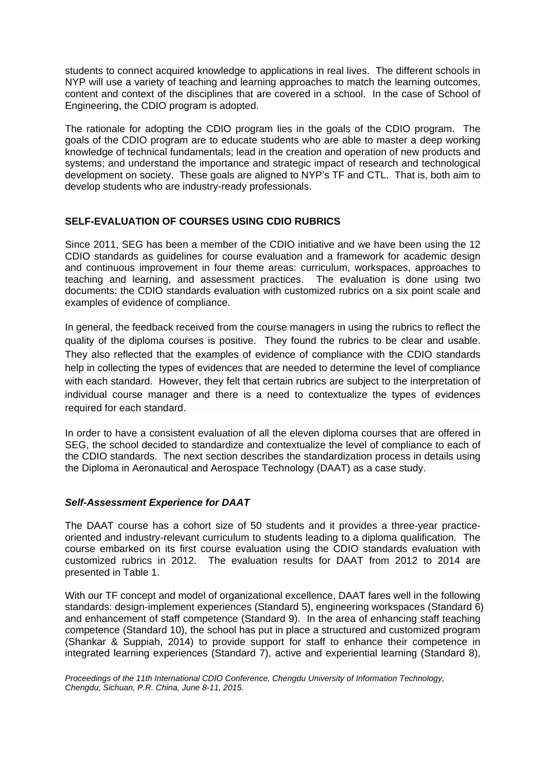students to connect acquired knowledge to applications in real lives. The different schools in NYP will use a variety of teaching and learning approaches to match the learning outcomes, content and context of the disciplines that are covered in a school. In the case of School of Engineering, the CDIO program is adopted.

The rationale for adopting the CDIO program lies in the goals of the CDIO program. The goals of the CDIO program are to educate students who are able to master a deep working knowledge of technical fundamentals; lead in the creation and operation of new products and systems; and understand the importance and strategic impact of research and technological development on society. These goals are aligned to NYP's TF and CTL. That is, both aim to develop students who are industry-ready professionals.

# **SELF-EVALUATION OF COURSES USING CDIO RUBRICS**

Since 2011, SEG has been a member of the CDIO initiative and we have been using the 12 CDIO standards as guidelines for course evaluation and a framework for academic design and continuous improvement in four theme areas: curriculum, workspaces, approaches to teaching and learning, and assessment practices. The evaluation is done using two documents: the CDIO standards evaluation with customized rubrics on a six point scale and examples of evidence of compliance.

In general, the feedback received from the course managers in using the rubrics to reflect the quality of the diploma courses is positive. They found the rubrics to be clear and usable. They also reflected that the examples of evidence of compliance with the CDIO standards help in collecting the types of evidences that are needed to determine the level of compliance with each standard. However, they felt that certain rubrics are subject to the interpretation of individual course manager and there is a need to contextualize the types of evidences required for each standard.

In order to have a consistent evaluation of all the eleven diploma courses that are offered in SEG, the school decided to standardize and contextualize the level of compliance to each of the CDIO standards. The next section describes the standardization process in details using the Diploma in Aeronautical and Aerospace Technology (DAAT) as a case study.

# *Self-Assessment Experience for DAAT*

The DAAT course has a cohort size of 50 students and it provides a three-year practiceoriented and industry-relevant curriculum to students leading to a diploma qualification. The course embarked on its first course evaluation using the CDIO standards evaluation with customized rubrics in 2012. The evaluation results for DAAT from 2012 to 2014 are presented in Table 1.

With our TF concept and model of organizational excellence, DAAT fares well in the following standards: design-implement experiences (Standard 5), engineering workspaces (Standard 6) and enhancement of staff competence (Standard 9). In the area of enhancing staff teaching competence (Standard 10), the school has put in place a structured and customized program (Shankar & Suppiah, 2014) to provide support for staff to enhance their competence in integrated learning experiences (Standard 7), active and experiential learning (Standard 8),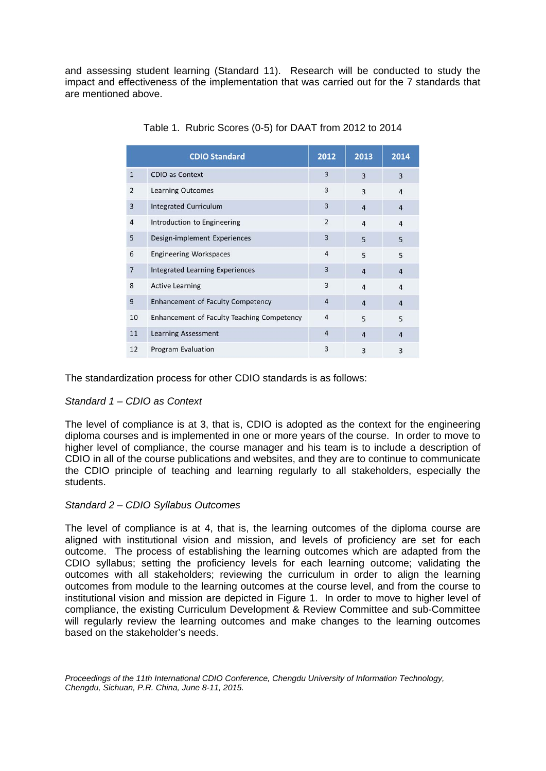and assessing student learning (Standard 11). Research will be conducted to study the impact and effectiveness of the implementation that was carried out for the 7 standards that are mentioned above.

| <b>CDIO Standard</b> |                                            | 2012           | 2013           | 2014           |
|----------------------|--------------------------------------------|----------------|----------------|----------------|
| $\mathbf{1}$         | <b>CDIO as Context</b>                     | $\overline{3}$ | $\overline{3}$ | 3              |
| 2                    | <b>Learning Outcomes</b>                   | 3              | $\overline{3}$ | $\overline{4}$ |
| 3                    | <b>Integrated Curriculum</b>               | $\overline{3}$ | $\overline{4}$ | 4              |
| $\overline{4}$       | Introduction to Engineering                | $\overline{2}$ | $\overline{4}$ | $\overline{4}$ |
| 5                    | Design-implement Experiences               | 3              | 5              | 5              |
| 6                    | <b>Engineering Workspaces</b>              | 4              | 5              | 5              |
| $\overline{7}$       | <b>Integrated Learning Experiences</b>     | 3              | $\overline{4}$ | $\overline{4}$ |
| 8                    | <b>Active Learning</b>                     | 3              | $\overline{4}$ | $\overline{4}$ |
| 9                    | <b>Enhancement of Faculty Competency</b>   | $\overline{4}$ | $\overline{4}$ | $\overline{4}$ |
| 10                   | Enhancement of Faculty Teaching Competency | $\overline{4}$ | 5              | 5              |
| 11                   | <b>Learning Assessment</b>                 | $\overline{4}$ | $\overline{4}$ | 4              |
| 12                   | Program Evaluation                         | 3              | $\overline{3}$ | 3              |

Table 1. Rubric Scores (0-5) for DAAT from 2012 to 2014

The standardization process for other CDIO standards is as follows:

# *Standard 1 – CDIO as Context*

The level of compliance is at 3, that is, CDIO is adopted as the context for the engineering diploma courses and is implemented in one or more years of the course. In order to move to higher level of compliance, the course manager and his team is to include a description of CDIO in all of the course publications and websites, and they are to continue to communicate the CDIO principle of teaching and learning regularly to all stakeholders, especially the students.

# *Standard 2 – CDIO Syllabus Outcomes*

The level of compliance is at 4, that is, the learning outcomes of the diploma course are aligned with institutional vision and mission, and levels of proficiency are set for each outcome. The process of establishing the learning outcomes which are adapted from the CDIO syllabus; setting the proficiency levels for each learning outcome; validating the outcomes with all stakeholders; reviewing the curriculum in order to align the learning outcomes from module to the learning outcomes at the course level, and from the course to institutional vision and mission are depicted in Figure 1. In order to move to higher level of compliance, the existing Curriculum Development & Review Committee and sub-Committee will regularly review the learning outcomes and make changes to the learning outcomes based on the stakeholder's needs.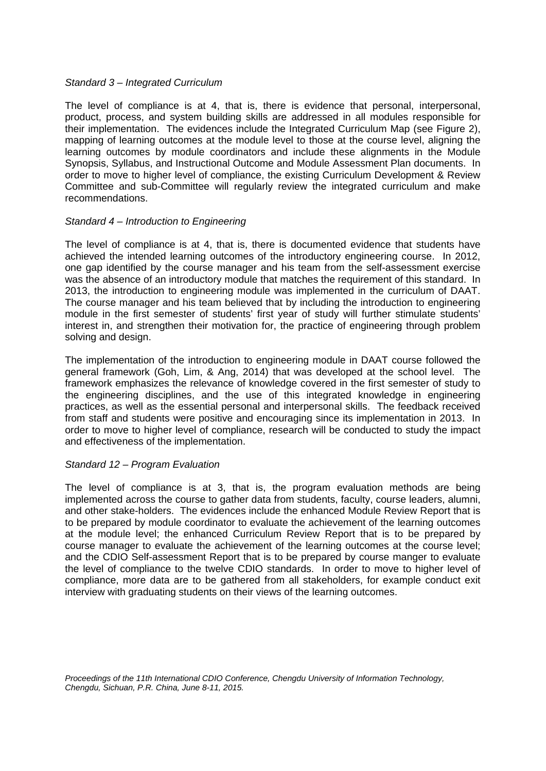#### *Standard 3 – Integrated Curriculum*

The level of compliance is at 4, that is, there is evidence that personal, interpersonal, product, process, and system building skills are addressed in all modules responsible for their implementation. The evidences include the Integrated Curriculum Map (see Figure 2), mapping of learning outcomes at the module level to those at the course level, aligning the learning outcomes by module coordinators and include these alignments in the Module Synopsis, Syllabus, and Instructional Outcome and Module Assessment Plan documents. In order to move to higher level of compliance, the existing Curriculum Development & Review Committee and sub-Committee will regularly review the integrated curriculum and make recommendations.

#### *Standard 4 – Introduction to Engineering*

The level of compliance is at 4, that is, there is documented evidence that students have achieved the intended learning outcomes of the introductory engineering course. In 2012, one gap identified by the course manager and his team from the self-assessment exercise was the absence of an introductory module that matches the requirement of this standard. In 2013, the introduction to engineering module was implemented in the curriculum of DAAT. The course manager and his team believed that by including the introduction to engineering module in the first semester of students' first year of study will further stimulate students' interest in, and strengthen their motivation for, the practice of engineering through problem solving and design.

The implementation of the introduction to engineering module in DAAT course followed the general framework (Goh, Lim, & Ang, 2014) that was developed at the school level. The framework emphasizes the relevance of knowledge covered in the first semester of study to the engineering disciplines, and the use of this integrated knowledge in engineering practices, as well as the essential personal and interpersonal skills. The feedback received from staff and students were positive and encouraging since its implementation in 2013. In order to move to higher level of compliance, research will be conducted to study the impact and effectiveness of the implementation.

# *Standard 12 – Program Evaluation*

The level of compliance is at 3, that is, the program evaluation methods are being implemented across the course to gather data from students, faculty, course leaders, alumni, and other stake-holders. The evidences include the enhanced Module Review Report that is to be prepared by module coordinator to evaluate the achievement of the learning outcomes at the module level; the enhanced Curriculum Review Report that is to be prepared by course manager to evaluate the achievement of the learning outcomes at the course level; and the CDIO Self-assessment Report that is to be prepared by course manger to evaluate the level of compliance to the twelve CDIO standards. In order to move to higher level of compliance, more data are to be gathered from all stakeholders, for example conduct exit interview with graduating students on their views of the learning outcomes.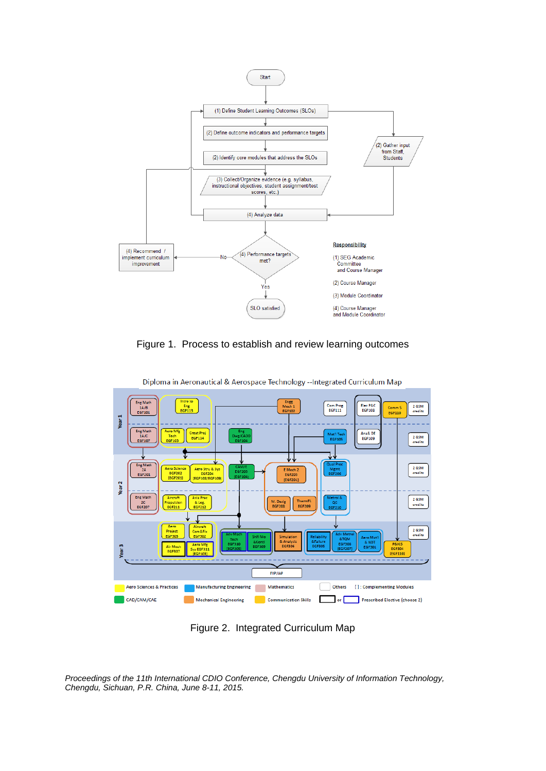

Figure 1. Process to establish and review learning outcomes



Diploma in Aeronautical & Aerospace Technology -- Integrated Curriculum Map

Figure 2. Integrated Curriculum Map

*Proceedings of the 11th International CDIO Conference, Chengdu University of Information Technology, Chengdu, Sichuan, P.R. China, June 8-11, 2015.*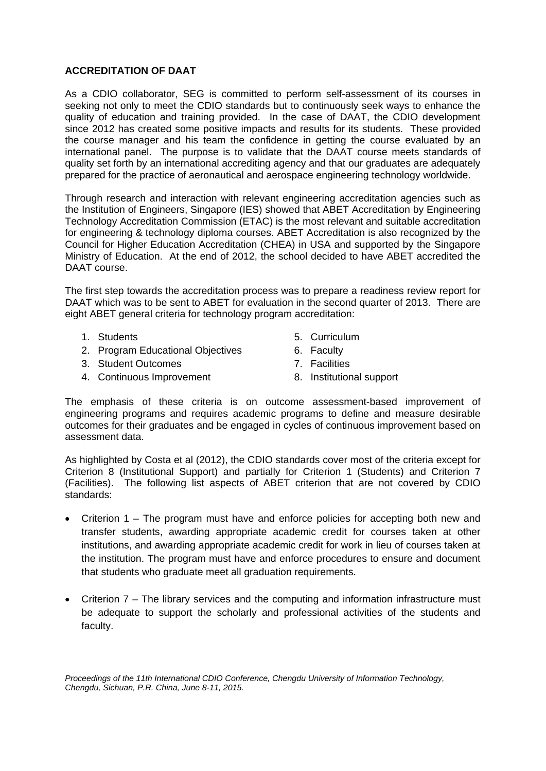# **ACCREDITATION OF DAAT**

As a CDIO collaborator, SEG is committed to perform self-assessment of its courses in seeking not only to meet the CDIO standards but to continuously seek ways to enhance the quality of education and training provided. In the case of DAAT, the CDIO development since 2012 has created some positive impacts and results for its students. These provided the course manager and his team the confidence in getting the course evaluated by an international panel. The purpose is to validate that the DAAT course meets standards of quality set forth by an international accrediting agency and that our graduates are adequately prepared for the practice of aeronautical and aerospace engineering technology worldwide.

Through research and interaction with relevant engineering accreditation agencies such as the Institution of Engineers, Singapore (IES) showed that ABET Accreditation by Engineering Technology Accreditation Commission (ETAC) is the most relevant and suitable accreditation for engineering & technology diploma courses. ABET Accreditation is also recognized by the Council for Higher Education Accreditation (CHEA) in USA and supported by the Singapore Ministry of Education. At the end of 2012, the school decided to have ABET accredited the DAAT course.

The first step towards the accreditation process was to prepare a readiness review report for DAAT which was to be sent to ABET for evaluation in the second quarter of 2013. There are eight ABET general criteria for technology program accreditation:

- 1. Students
- 2. Program Educational Objectives
- 3. Student Outcomes
- 4. Continuous Improvement
- 5. Curriculum
- 6. Faculty
- 7. Facilities
- 8. Institutional support

The emphasis of these criteria is on outcome assessment-based improvement of engineering programs and requires academic programs to define and measure desirable outcomes for their graduates and be engaged in cycles of continuous improvement based on assessment data.

As highlighted by Costa et al (2012), the CDIO standards cover most of the criteria except for Criterion 8 (Institutional Support) and partially for Criterion 1 (Students) and Criterion 7 (Facilities). The following list aspects of ABET criterion that are not covered by CDIO standards:

- Criterion 1 The program must have and enforce policies for accepting both new and transfer students, awarding appropriate academic credit for courses taken at other institutions, and awarding appropriate academic credit for work in lieu of courses taken at the institution. The program must have and enforce procedures to ensure and document that students who graduate meet all graduation requirements.
- Criterion 7 The library services and the computing and information infrastructure must be adequate to support the scholarly and professional activities of the students and faculty.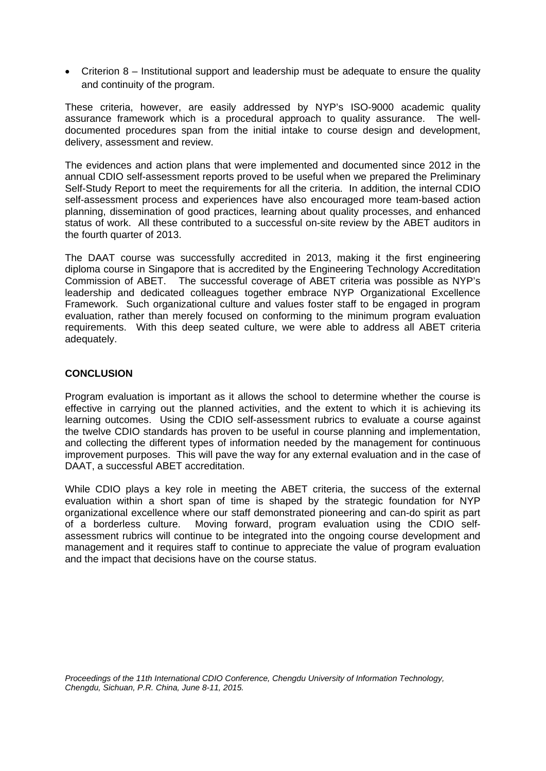• Criterion 8 – Institutional support and leadership must be adequate to ensure the quality and continuity of the program.

These criteria, however, are easily addressed by NYP's ISO-9000 academic quality assurance framework which is a procedural approach to quality assurance. The welldocumented procedures span from the initial intake to course design and development, delivery, assessment and review.

The evidences and action plans that were implemented and documented since 2012 in the annual CDIO self-assessment reports proved to be useful when we prepared the Preliminary Self-Study Report to meet the requirements for all the criteria. In addition, the internal CDIO self-assessment process and experiences have also encouraged more team-based action planning, dissemination of good practices, learning about quality processes, and enhanced status of work. All these contributed to a successful on-site review by the ABET auditors in the fourth quarter of 2013.

The DAAT course was successfully accredited in 2013, making it the first engineering diploma course in Singapore that is accredited by the Engineering Technology Accreditation Commission of ABET. The successful coverage of ABET criteria was possible as NYP's leadership and dedicated colleagues together embrace NYP Organizational Excellence Framework. Such organizational culture and values foster staff to be engaged in program evaluation, rather than merely focused on conforming to the minimum program evaluation requirements. With this deep seated culture, we were able to address all ABET criteria adequately.

#### **CONCLUSION**

Program evaluation is important as it allows the school to determine whether the course is effective in carrying out the planned activities, and the extent to which it is achieving its learning outcomes. Using the CDIO self-assessment rubrics to evaluate a course against the twelve CDIO standards has proven to be useful in course planning and implementation, and collecting the different types of information needed by the management for continuous improvement purposes. This will pave the way for any external evaluation and in the case of DAAT, a successful ABET accreditation.

While CDIO plays a key role in meeting the ABET criteria, the success of the external evaluation within a short span of time is shaped by the strategic foundation for NYP organizational excellence where our staff demonstrated pioneering and can-do spirit as part of a borderless culture. Moving forward, program evaluation using the CDIO selfassessment rubrics will continue to be integrated into the ongoing course development and management and it requires staff to continue to appreciate the value of program evaluation and the impact that decisions have on the course status.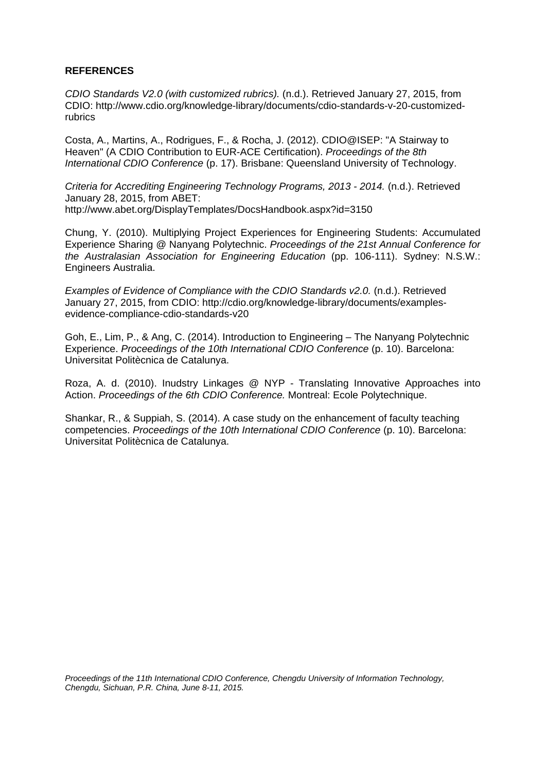# **REFERENCES**

*CDIO Standards V2.0 (with customized rubrics).* (n.d.). Retrieved January 27, 2015, from CDIO: http://www.cdio.org/knowledge-library/documents/cdio-standards-v-20-customizedrubrics

Costa, A., Martins, A., Rodrigues, F., & Rocha, J. (2012). CDIO@ISEP: "A Stairway to Heaven" (A CDIO Contribution to EUR-ACE Certification). *Proceedings of the 8th International CDIO Conference* (p. 17). Brisbane: Queensland University of Technology.

*Criteria for Accrediting Engineering Technology Programs, 2013 - 2014.* (n.d.). Retrieved January 28, 2015, from ABET: http://www.abet.org/DisplayTemplates/DocsHandbook.aspx?id=3150

Chung, Y. (2010). Multiplying Project Experiences for Engineering Students: Accumulated Experience Sharing @ Nanyang Polytechnic. *Proceedings of the 21st Annual Conference for the Australasian Association for Engineering Education* (pp. 106-111). Sydney: N.S.W.: Engineers Australia.

*Examples of Evidence of Compliance with the CDIO Standards v2.0.* (n.d.). Retrieved January 27, 2015, from CDIO: http://cdio.org/knowledge-library/documents/examplesevidence-compliance-cdio-standards-v20

Goh, E., Lim, P., & Ang, C. (2014). Introduction to Engineering – The Nanyang Polytechnic Experience. *Proceedings of the 10th International CDIO Conference* (p. 10). Barcelona: Universitat Politècnica de Catalunya.

Roza, A. d. (2010). Inudstry Linkages @ NYP - Translating Innovative Approaches into Action. *Proceedings of the 6th CDIO Conference.* Montreal: Ecole Polytechnique.

Shankar, R., & Suppiah, S. (2014). A case study on the enhancement of faculty teaching competencies. *Proceedings of the 10th International CDIO Conference* (p. 10). Barcelona: Universitat Politècnica de Catalunya.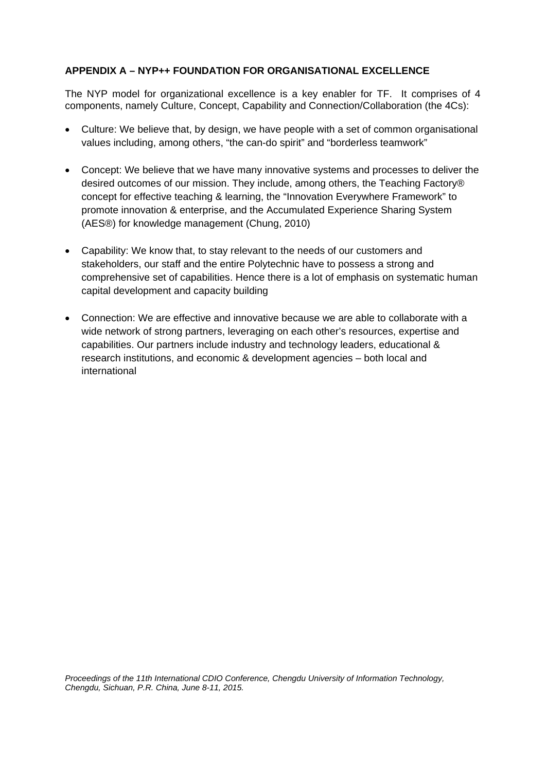# **APPENDIX A – NYP++ FOUNDATION FOR ORGANISATIONAL EXCELLENCE**

The NYP model for organizational excellence is a key enabler for TF. It comprises of 4 components, namely Culture, Concept, Capability and Connection/Collaboration (the 4Cs):

- Culture: We believe that, by design, we have people with a set of common organisational values including, among others, "the can-do spirit" and "borderless teamwork"
- Concept: We believe that we have many innovative systems and processes to deliver the desired outcomes of our mission. They include, among others, the Teaching Factory® concept for effective teaching & learning, the "Innovation Everywhere Framework" to promote innovation & enterprise, and the Accumulated Experience Sharing System (AES®) for knowledge management (Chung, 2010)
- Capability: We know that, to stay relevant to the needs of our customers and stakeholders, our staff and the entire Polytechnic have to possess a strong and comprehensive set of capabilities. Hence there is a lot of emphasis on systematic human capital development and capacity building
- Connection: We are effective and innovative because we are able to collaborate with a wide network of strong partners, leveraging on each other's resources, expertise and capabilities. Our partners include industry and technology leaders, educational & research institutions, and economic & development agencies – both local and international